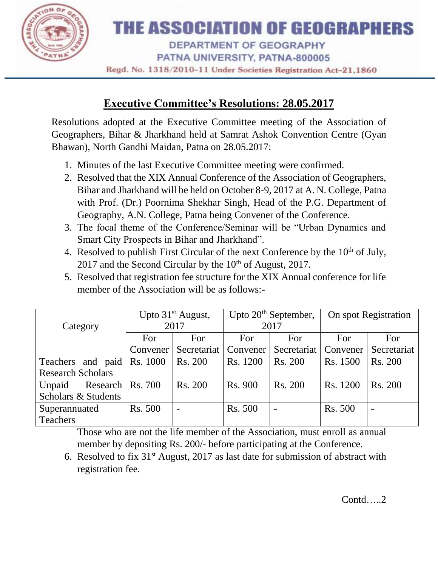

## THE ASSOCIATION OF GEOGRAPHERS

DEPARTMENT OF GEOGRAPHY

PATNA UNIVERSITY, PATNA-800005

Regd. No. 1318/2010-11 Under Societies Registration Act-21,1860

## **Executive Committee's Resolutions: 28.05.2017**

Resolutions adopted at the Executive Committee meeting of the Association of Geographers, Bihar & Jharkhand held at Samrat Ashok Convention Centre (Gyan Bhawan), North Gandhi Maidan, Patna on 28.05.2017:

- 1. Minutes of the last Executive Committee meeting were confirmed.
- 2. Resolved that the XIX Annual Conference of the Association of Geographers, Bihar and Jharkhand will be held on October 8-9, 2017 at A. N. College, Patna with Prof. (Dr.) Poornima Shekhar Singh, Head of the P.G. Department of Geography, A.N. College, Patna being Convener of the Conference.
- 3. The focal theme of the Conference/Seminar will be "Urban Dynamics and Smart City Prospects in Bihar and Jharkhand".
- 4. Resolved to publish First Circular of the next Conference by the  $10<sup>th</sup>$  of July, 2017 and the Second Circular by the  $10<sup>th</sup>$  of August, 2017.
- 5. Resolved that registration fee structure for the XIX Annual conference for life member of the Association will be as follows:-

|                          | Upto $31st$ August, |                        | Upto $20th$ September, |                        | On spot Registration |             |
|--------------------------|---------------------|------------------------|------------------------|------------------------|----------------------|-------------|
| Category                 | 2017                |                        | 2017                   |                        |                      |             |
|                          | For                 | For                    | <b>For</b>             | For                    | For                  | For         |
|                          | Convener            | Secretariat   Convener |                        | Secretariat   Convener |                      | Secretariat |
| Teachers and paid        | Rs. 1000            | Rs. 200                | Rs. 1200               | Rs. 200                | Rs. 1500             | Rs. 200     |
| <b>Research Scholars</b> |                     |                        |                        |                        |                      |             |
| Research<br>Unpaid       | <b>Rs.</b> 700      | Rs. 200                | Rs. 900                | Rs. 200                | Rs. 1200             | Rs. 200     |
| Scholars & Students      |                     |                        |                        |                        |                      |             |
| Superannuated            | <b>Rs. 500</b>      |                        | <b>Rs. 500</b>         |                        | <b>Rs. 500</b>       |             |
| Teachers                 |                     |                        |                        |                        |                      |             |

Those who are not the life member of the Association, must enroll as annual member by depositing Rs. 200/- before participating at the Conference.

6. Resolved to fix  $31<sup>st</sup>$  August, 2017 as last date for submission of abstract with registration fee.